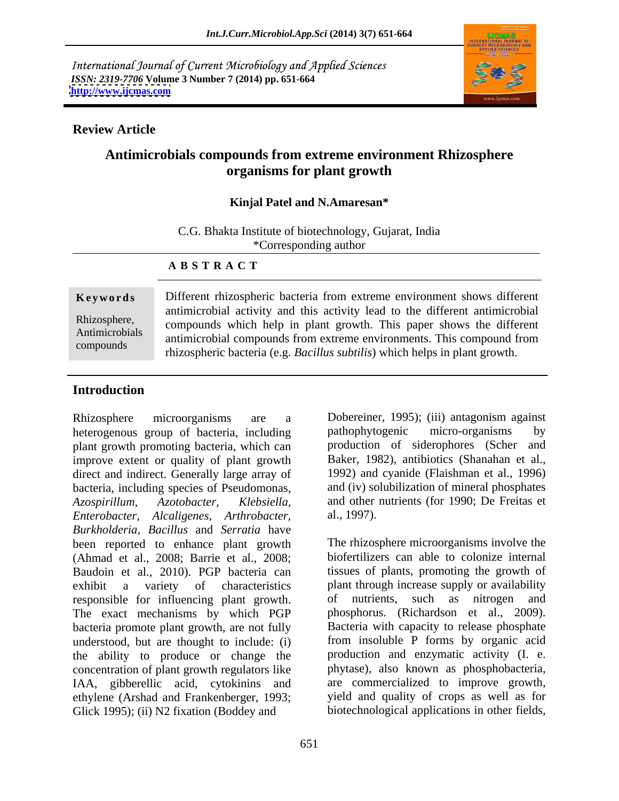International Journal of Current Microbiology and Applied Sciences *ISSN: 2319-7706* **Volume 3 Number 7 (2014) pp. 651-664 <http://www.ijcmas.com>**



#### **Review Article**

# **Antimicrobials compounds from extreme environment Rhizosphere organisms for plant growth**

#### **Kinjal Patel and N.Amaresan\***

C.G. Bhakta Institute of biotechnology, Gujarat, India \*Corresponding author

#### **A B S T R A C T**

**Keywords** Different rhizospheric bacteria from extreme environment shows different Rhizosphere, compounds which help in plant growth. This paper shows the different Antimicrobials<br>
antimicrobial compounds from extreme environments. This compound from compounds rhizospheric bacteria (e.g. *Bacillus subtilis*) which helps in plant growth.antimicrobial activity and this activity lead to the different antimicrobial

### **Introduction**

Rhizosphere microorganisms are a Dobereiner, 1995); (iii) antagonism against heterogenous group of bacteria, including pathophytogenic micro-organisms by plant growth promoting bacteria, which can improve extent or quality of plant growth direct and indirect. Generally large array of bacteria, including species of Pseudomonas, *Azospirillum, Azotobacter, Klebsiella,* and other nutrients (for 1990; De Freitas et *Enterobacter, Alcaligenes*, *Arthrobacter, Burkholderia, Bacillus* and *Serratia* have been reported to enhance plant growth (Ahmad et al., 2008; Barrie et al., 2008; Baudoin et al., 2010). PGP bacteria can exhibit a variety of characteristics plant through increase supply or availability responsible for influencing plant growth. The exact mechanisms by which PGP bacteria promote plant growth, are not fully understood, but are thought to include: (i) from insoluble P forms by organic acid the ability to produce or change the production and enzymatic activity (I. e. concentration of plant growth regulators like IAA, gibberellic acid, cytokinins and ethylene (Arshad and Frankenberger, 1993; Glick 1995); (ii) N2 fixation (Boddey and

pathophytogenic micro-organisms by production of siderophores (Scher and Baker, 1982), antibiotics (Shanahan et al., 1992) and cyanide (Flaishman et al., 1996) and (iv) solubilization of mineral phosphates al., 1997).

The rhizosphere microorganisms involve the biofertilizers can able to colonize internal tissues of plants, promoting the growth of of nutrients, such as nitrogen and phosphorus. (Richardson et al., 2009). Bacteria with capacity to release phosphate phytase), also known as phosphobacteria, are commercialized to improve growth, yield and quality of crops as well as for biotechnological applications in other fields,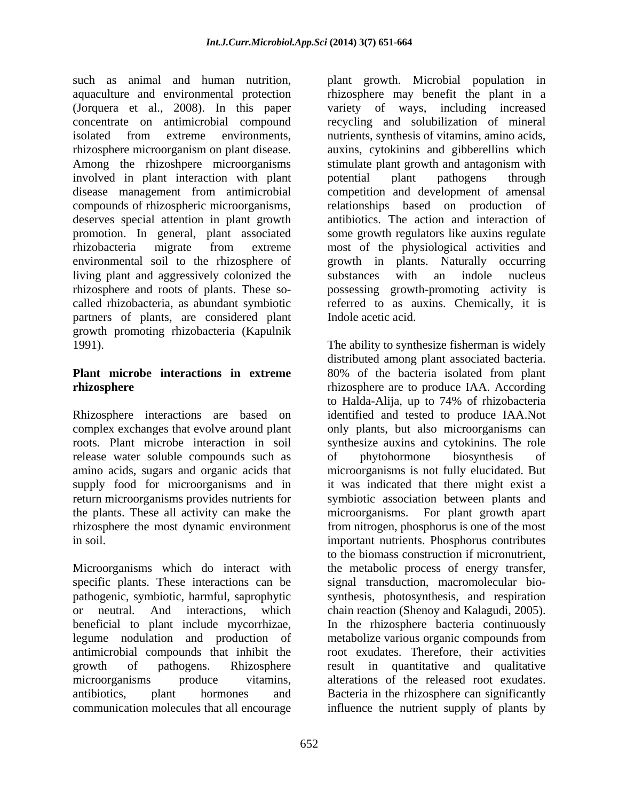such as animal and human nutrition, plant growth. Microbial population in aquaculture and environmental protection rhizosphere may benefit the plant in a (Jorquera et al., 2008). In this paper variety of ways, including increased concentrate on antimicrobial compound recycling and solubilization of mineral isolated from extreme environments, nutrients, synthesis of vitamins, amino acids,<br>
rhizosphere microorganism on plant disease. auxins, cytokinins and gibberellins which Among the rhizoshpere microorganisms stimulate plant growth and antagonism with involved in plant interaction with plant potential plant pathogens through disease management from antimicrobial competition and development of amensal compounds of rhizospheric microorganisms, deserves special attention in plant growth promotion. In general, plant associated some growth regulators like auxins regulate rhizobacteria migrate from extreme most of the physiological activities and environmental soil to the rhizosphere of growth in plants. Naturally occurring living plant and aggressively colonized the substances with an indole nucleus rhizosphere and roots of plants. These so- possessing growth-promoting activity is called rhizobacteria, as abundant symbiotic referred to as auxins. Chemically, it is partners of plants, are considered plant growth promoting rhizobacteria (Kapulnik

release water soluble compounds such as  $\qquad$  of phytohormone biosynthesis of

Microorganisms which do interact with specific plants. These interactions can be

nutrients, synthesis of vitamins, amino acids, auxins, cytokinins and gibberellins which potential plant pathogens through relationships based on production of antibiotics. The action and interaction of substances with an indole nucleus Indole acetic acid.

1991). The ability to synthesize fisherman is widely **Plant microbe interactions in extreme** 80% of the bacteria isolated from plant **rhizosphere rhizosphere** are to produce IAA. According Rhizosphere interactions are based on identified and tested to produce IAA.Not complex exchanges that evolve around plant only plants, but also microorganisms can roots. Plant microbe interaction in soil synthesize auxins and cytokinins. The role amino acids, sugars and organic acids that microorganisms is not fully elucidated. But supply food for microorganisms and in it was indicated that there might exist a return microorganisms provides nutrients for symbiotic association between plants and the plants. These all activity can make the microorganisms. For plant growth apart rhizosphere the most dynamic environment from nitrogen, phosphorus is one of the most in soil. important nutrients. Phosphorus contributes pathogenic, symbiotic, harmful, saprophytic synthesis, photosynthesis, and respiration or neutral. And interactions, which chain reaction (Shenoy and Kalagudi, 2005). beneficial to plant include mycorrhizae, In the rhizosphere bacteria continuously legume nodulation and production of metabolize various organic compounds from antimicrobial compounds that inhibit the root exudates. Therefore, their activities growth of pathogens. Rhizosphere result in quantitative and qualitative microorganisms produce vitamins, alterations of the released root exudates. antibiotics, plant hormones and Bacteria in the rhizosphere can significantly communication molecules that all encourage influence the nutrient supply of plants by distributed among plant associated bacteria. to Halda-Alija, up to 74% of rhizobacteria of phytohormone biosynthesis of to the biomass construction if micronutrient, the metabolic process of energy transfer, signal transduction, macromolecular bio-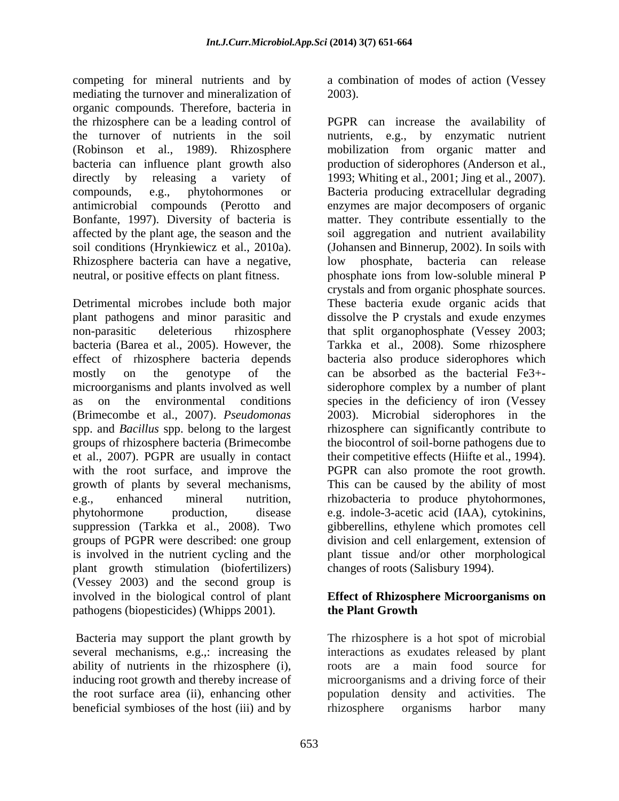competing for mineral nutrients and by a combination of modes of action (Vessey mediating the turnover and mineralization of 2003). organic compounds. Therefore, bacteria in Rhizosphere bacteria can have a negative, low phosphate, bacteria can release neutral, or positive effects on plant fitness.

microorganisms and plants involved as well plant growth stimulation (biofertilizers) (Vessey 2003) and the second group is involved in the biological control of plant **Effect of Rhizosphere Microorganisms on** pathogens (biopesticides) (Whipps 2001). **the Plant Growth** 

several mechanisms, e.g.,: increasing the ability of nutrients in the rhizosphere (i), the root surface area (ii), enhancing other population density and activities. The beneficial symbioses of the host (iii) and by rhizosphere organisms harbor many

2003).

the rhizosphere can be a leading control of PGPR can increase the availability of the turnover of nutrients in the soil nutrients, e.g., by enzymatic nutrient (Robinson et al., 1989). Rhizosphere mobilization from organic matter and bacteria can influence plant growth also production of siderophores (Anderson et al., directly by releasing a variety of 1993; Whiting et al., 2001; Jing et al., 2007). compounds, e.g., phytohormones or Bacteria producing extracellular degrading antimicrobial compounds (Perotto and enzymes are major decomposers of organic Bonfante, 1997). Diversity of bacteria is matter. They contribute essentially to the affected by the plant age, the season and the soil aggregation and nutrient availability soil conditions (Hrynkiewicz et al., 2010a). (Johansen and Binnerup, 2002). In soils with Detrimental microbes include both major These bacteria exude organic acids that plant pathogens and minor parasitic and dissolve the P crystals and exude enzymes non-parasitic deleterious rhizosphere that split organophosphate (Vessey 2003; bacteria (Barea et al., 2005). However, the Tarkka et al., 2008). Some rhizosphere effect of rhizosphere bacteria depends bacteria also produce siderophores which mostly on the genotype of the can be absorbed as the bacterial Fe3+ as on the environmental conditions species in the deficiency of iron (Vessey (Brimecombe et al., 2007). *Pseudomonas* 2003). Microbial siderophores in the spp. and *Bacillus* spp. belong to the largest rhizosphere can significantly contribute to groups of rhizosphere bacteria (Brimecombe the biocontrol of soil-borne pathogens due to et al., 2007). PGPR are usually in contact their competitive effects (Hiifte et al., 1994). with the root surface, and improve the PGPR can also promote the root growth. growth of plants by several mechanisms, This can be caused by the ability of most e.g., enhanced mineral nutrition, rhizobacteria to produce phytohormones, phytohormone production, disease e.g. indole-3-acetic acid (IAA), cytokinins, suppression (Tarkka et al., 2008). Two gibberellins, ethylene which promotes cell groups of PGPR were described: one group division and cell enlargement, extension of is involved in the nutrient cycling and the plant tissue and/or other morphological low phosphate, bacteria can release phosphate ions from low-soluble mineral P crystals and from organic phosphate sources. siderophore complex by a number of plant changes of roots (Salisbury 1994).

# **the Plant Growth**

 Bacteria may support the plant growth by The rhizosphere is a hot spot of microbial ability of nutrients in the rhizosphere (i), inducing root growth and thereby increase of increase of increase of  $\frac{1}{\sqrt{2}}$  and a driving force of their interactions as exudates released by plant roots are a main food source for microorganisms and a driving force of their population density and activities. rhizosphere organisms harbor many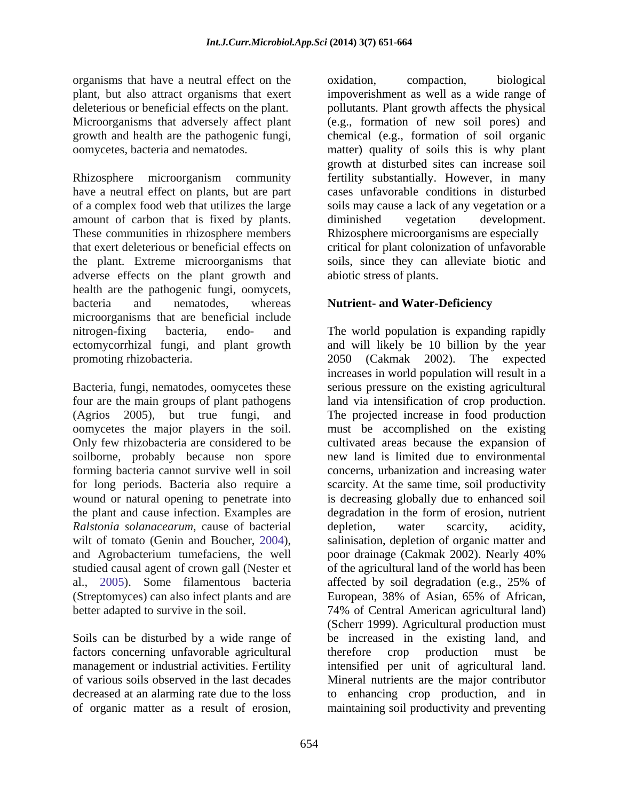organisms that have a neutral effect on the oxidation, compaction, biological

Rhizosphere microorganism community fertility substantially. However, in many have a neutral effect on plants, but are part of a complex food web that utilizes the large amount of carbon that is fixed by plants. Including diminished vegetation development. These communities in rhizosphere members Rhizosphere microorganisms are especially that exert deleterious or beneficial effects on critical for plant colonization of unfavorable the plant. Extreme microorganisms that soils, since they can alleviate biotic and adverse effects on the plant growth and health are the pathogenic fungi, oomycets, bacteria and nematodes, whereas **Nutrient- and Water-Deficiency** microorganisms that are beneficial include

Bacteria, fungi, nematodes, oomycetes these serious pressure on the existing agricultural four are the main groups of plant pathogens land via intensification of crop production. (Agrios 2005), but true fungi, and The projected increase in food production oomycetes the major players in the soil. must be accomplished on the existing Only few rhizobacteria are considered to be soilborne, probably because non spore new land is limited due to environmental forming bacteria cannot survive well in soil concerns, urbanization and increasing water for long periods. Bacteria also require a scarcity. At the same time, soil productivity wound or natural opening to penetrate into is decreasing globally due to enhanced soil the plant and cause infection. Examples are *Ralstonia solanacearum*, cause of bacterial wilt of tomato (Genin and Boucher, 2004), salinisation, depletion of organic matter and and Agrobacterium tumefaciens, the well poor drainage (Cakmak 2002). Nearly 40% studied causal agent of crown gall (Nester et of the agricultural land of the world has been al., 2005). Some filamentous bacteria affected by soil degradation (e.g., 25% of (Streptomyces) can also infect plants and are European, 38% of Asian, 65% of African, better adapted to survive in the soil. 74% of Central American agricultural land)

Soils can be disturbed by a wide range of factors concerning unfavorable agricultural therefore crop production must be

plant, but also attract organisms that exert impoverishment as well as a wide range of deleterious or beneficial effects on the plant. pollutants. Plant growth affects the physical Microorganisms that adversely affect plant (e.g., formation of new soil pores) and growth and health are the pathogenic fungi, chemical (e.g., formation of soil organic oomycetes, bacteria and nematodes. matter) quality of soils this is why plant oxidation, compaction, biological growth at disturbed sites can increase soil cases unfavorable conditions in disturbed soils may cause a lack of any vegetation or a diminished vegetation development. abiotic stress of plants.

nitrogen-fixing bacteria, endo- and The world population is expanding rapidly ectomycorrhizal fungi, and plant growth and will likely be 10 billion by the year promoting rhizobacteria. 2050 (Cakmak 2002). The expected management or industrial activities. Fertility intensified per unit of agricultural land. of various soils observed in the last decades Mineral nutrients are the major contributor decreased at an alarming rate due to the loss to enhancing crop production, and in of organic matter as a result of erosion, maintaining soil productivity and preventingincreases in world population will result in a cultivated areas because the expansion of degradation in the form of erosion, nutrient depletion, water scarcity, acidity, European, 38% of Asian, 65% of African, (Scherr 1999). Agricultural production must be increased in the existing land, and therefore crop production must be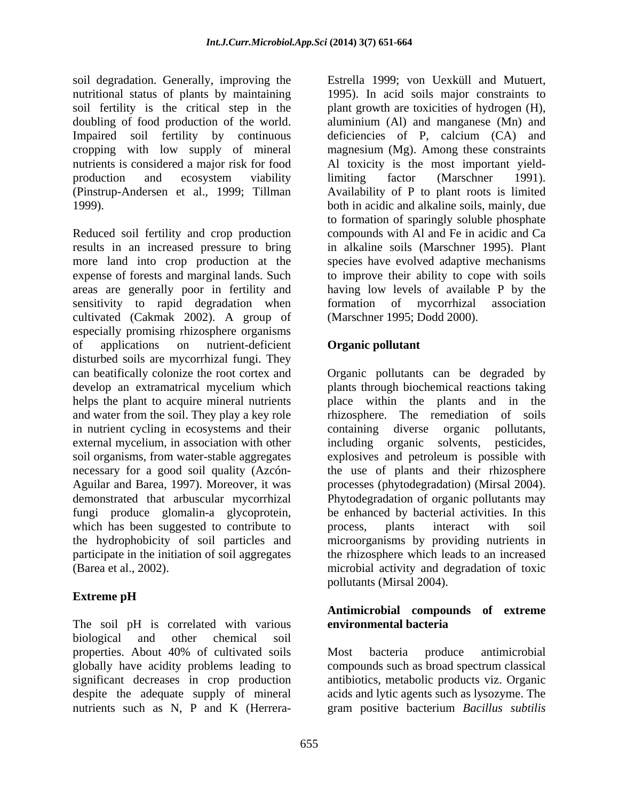soil degradation. Generally, improving the Estrella 1999; von Uexküll and Mutuert, nutritional status of plants by maintaining 1995). In acid soils major constraints to soil fertility is the critical step in the plant growth are toxicities of hydrogen (H), doubling of food production of the world. aluminium (Al) and manganese (Mn) and Impaired soil fertility by continuous deficiencies of P, calcium (CA) and cropping with low supply of mineral magnesium (Mg). Among these constraints nutrients is considered a major risk for food Al toxicity is the most important yieldproduction and ecosystem viability limiting factor (Marschner 1991). (Pinstrup-Andersen et al., 1999; Tillman Availability of P to plant roots is limited 1999). both in acidic and alkaline soils, mainly, due

Reduced soil fertility and crop production results in an increased pressure to bring in alkaline soils (Marschner 1995). Plant more land into crop production at the expense of forests and marginal lands. Such to improve their ability to cope with soils areas are generally poor in fertility and sensitivity to rapid degradation when formation of mycorrhizal association cultivated (Cakmak 2002). A group of especially promising rhizosphere organisms of applications on nutrient-deficient **Organic pollutant** disturbed soils are mycorrhizal fungi. They can beatifically colonize the root cortex and Organic pollutants can be degraded by develop an extramatrical mycelium which plants through biochemical reactions taking helps the plant to acquire mineral nutrients being place within the plants and in the and water from the soil. They play a key role in nutrient cycling in ecosystems and their containing diverse organic pollutants, external mycelium, in association with other including organic solvents, pesticides, soil organisms, from water-stable aggregates explosives and petroleum is possible with necessary for a good soil quality (Azcón- the use of plants and their rhizosphere Aguilar and Barea, 1997). Moreover, it was processes (phytodegradation) (Mirsal 2004). demonstrated that arbuscular mycorrhizal Phytodegradation of organic pollutants may fungi produce glomalin-a glycoprotein, be enhanced by bacterial activities. In this which has been suggested to contribute to process, plants interact with soil the hydrophobicity of soil particles and microorganisms by providing nutrients in participate in the initiation of soil aggregates coil distinguishing constraints in Franchise Such and Mutuari, the constraints such the chiral sign in the plane group of the chiral system (b), solid field the constraints in the plane group of the plane group of the pla

## **Extreme pH**

The soil pH is correlated with various environmental bacteria biological and other chemical soil properties. About 40% of cultivated soils globally have acidity problems leading to compounds such as broad spectrum classical significant decreases in crop production despite the adequate supply of mineral acids and lytic agents such as lysozyme. The

limiting factor (Marschner 1991). to formation of sparingly soluble phosphate compounds with Al and Fe in acidic and Ca species have evolved adaptive mechanisms having low levels of available P by the formation of mycorrhizal association (Marschner 1995; Dodd 2000).

### **Organic pollutant**

(Barea et al., 2002). microbial activity and degradation of toxic rhizosphere. The remediation of soils containing diverse organic pollutants, including organic solvents, process, plants interact with soil the rhizosphere which leads to an increased pollutants (Mirsal 2004).

#### **Antimicrobial compounds of extreme environmental bacteria**

Most bacteria produce antimicrobial antibiotics, metabolic products viz. Organic gram positive bacterium *Bacillus subtilis*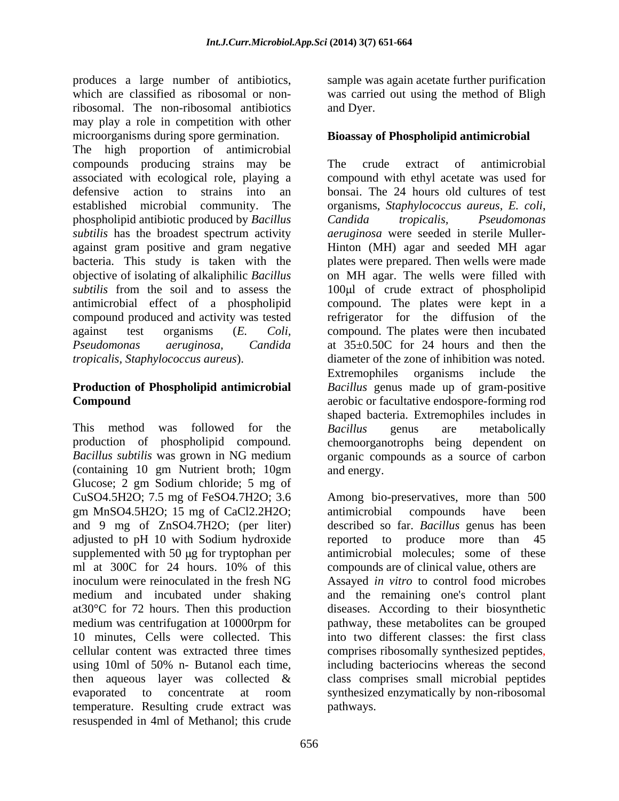produces a large number of antibiotics, sample was again acetate further purification which are classified as ribosomal or non-was carried out using the method of Bligh ribosomal. The non-ribosomal antibiotics may play a role in competition with other microorganisms during spore germination.

The high proportion of antimicrobial compounds producing strains may be The crude extract of antimicrobial associated with ecological role, playing a compound with ethyl acetate was used for defensive action to strains into an bonsai. The 24 hours old cultures of test established microbial community. The organisms, *Staphylococcus aureus*, *E. coli*, phospholipid antibiotic produced by *Bacillus subtilis* has the broadest spectrum activity *aeruginosa* were seeded in sterile Muller against gram positive and gram negative Hinton (MH) agar and seeded MH agar bacteria. This study is taken with the objective of isolating of alkaliphilic *Bacillus*  subtilis from the soil and to assess the loo<sub>ul</sub> of crude extract of phospholipid antimicrobial effect of a phospholipid compound. The plates were kept in a compound produced and activity was tested refrigerator for the diffusion of the against test organisms (*E. Coli,* compound. The plates were then incubated *Pseudomonas aeruginosa, Candida* at 35±0.50C for 24 hours and then the *tropicalis, Staphylococcus aureus*). diameter of the zone of inhibition was noted.

# **Production of Phospholipid antimicrobial**

This method was followed for the *Bacillus* genus are metabolically production of phospholipid compound. chemoorganotrophs being dependent on *Bacillus subtilis* was grown in NG medium organic compounds as a source of carbon (containing 10 gm Nutrient broth; 10gm Glucose; 2 gm Sodium chloride; 5 mg of CuSO4.5H2O; 7.5 mg of FeSO4.7H2O; 3.6 Among bio-preservatives, more than 500 gm MnSO4.5H2O; 15 mg of CaCl2.2H2O; and 9 mg of ZnSO4.7H2O; (per liter) described so far. *Bacillus* genus has been adjusted to pH 10 with Sodium hydroxide reported to produce more than 45 supplemented with  $50 \mu$ g for tryptophan per ml at 300C for 24 hours. 10% of this compounds are of clinical value, others are inoculum were reinoculated in the fresh NG Assayed *in vitro* to control food microbes medium and incubated under shaking at30°C for 72 hours. Then this production medium was centrifugation at 10000rpm for pathway, these metabolites can be grouped 10 minutes, Cells were collected. This into two different classes: the first class cellular content was extracted three times comprises ribosomally synthesized peptides, using 10ml of 50% n- Butanol each time, including bacteriocins whereas the second then aqueous layer was collected  $\&$  class comprises small microbial peptides evaporated to concentrate at room synthesized enzymatically by non-ribosomal temperature. Resulting crude extract was resuspended in 4ml of Methanol; this crude

and Dyer.

#### **Bioassay of Phospholipid antimicrobial**

**Compound Compound aerobic** or facultative endospore-forming rod The crude extract of antimicrobial *Candida tropicalis, Pseudomonas* plates were prepared.Then wells were made on MH agar. The wells were filled with Extremophiles organisms include the *Bacillus* genus made up of gram-positive shaped bacteria. Extremophiles includes in *Bacillus* genus are metabolically and energy.

> antimicrobial compounds have been reported to produce more than 45 antimicrobial molecules; some of these compounds are of clinical value, others are and the remaining one's control plant diseases. According to their biosynthetic comprises ribosomally synthesized peptides, including bacteriocins whereas the second class comprises small microbial peptides pathways.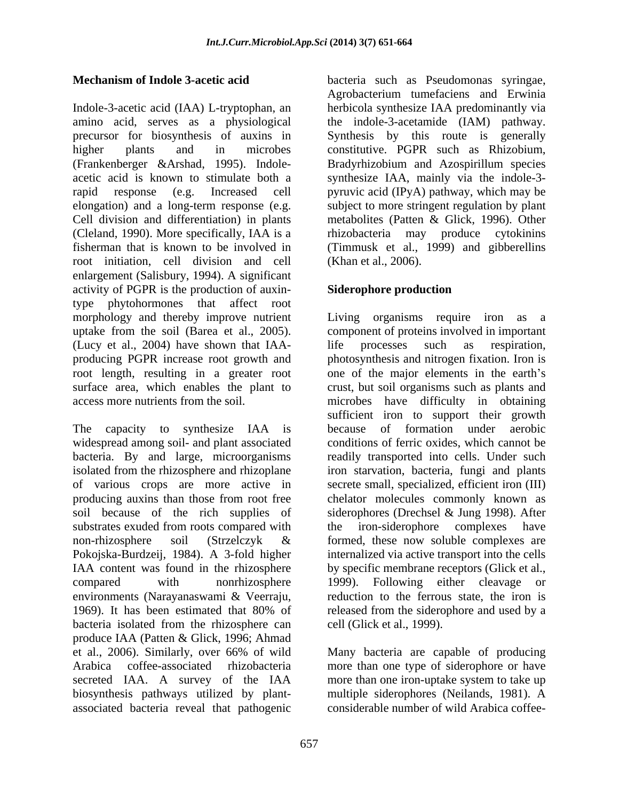Indole-3-acetic acid (IAA) L-tryptophan, an amino acid, serves as a physiological the indole-3-acetamide (IAM) pathway. precursor for biosynthesis of auxins in Synthesis by this route is generally higher plants and in microbes constitutive. PGPR such as Rhizobium, (Frankenberger &Arshad, 1995). Indole- Bradyrhizobium and Azospirillum species acetic acid is known to stimulate both a synthesize IAA, mainly via the indole-3 rapid response (e.g. Increased cell pyruvic acid (IPyA) pathway, which may be elongation) and a long-term response (e.g. subject to more stringent regulation by plant Cell division and differentiation) in plants (Cleland, 1990). More specifically, IAA is a fisherman that is known to be involved in (Timmusk et al., 1999) and gibberellins root initiation, cell division and cell enlargement (Salisbury, 1994). A significant activity of PGPR is the production of auxin-<br>Siderophore production type phytohormones that affect root (Lucy et al., 2004) have shown that IAA-

isolated from the rhizosphere and rhizoplane producing auxins than those from root free<br>soil because of the rich supplies of substrates exuded from roots compared with the iron-siderophore complexes have environments (Narayanaswami & Veerraju, produce IAA (Patten & Glick, 1996; Ahmad et al., 2006). Similarly, over 66% of wild Many bacteria are capable of producing Arabica coffee-associated rhizobacteria more than one type of siderophore or have secreted IAA. A survey of the IAA more than one iron-uptake system to take up biosynthesis pathways utilized by plant associated bacteria reveal that pathogenic

**Mechanism of Indole 3-acetic acid** bacteria such as Pseudomonas syringae, Agrobacterium tumefaciens and Erwinia herbicola synthesize IAA predominantly via metabolites (Patten & Glick, 1996). Other rhizobacteria may produce cytokinins (Khan et al., 2006).

#### **Siderophore production**

morphology and thereby improve nutrient Living organisms require iron as a uptake from the soil (Barea et al., 2005). component of proteins involved in important producing PGPR increase root growth and photosynthesis and nitrogen fixation. Iron is root length, resulting in a greater root one of the major elements in the earth's surface area, which enables the plant to crust, but soil organisms such as plants and access more nutrients from the soil. microbes have difficulty in obtaining The capacity to synthesize IAA is because of formation under aerobic widespread among soil- and plant associated conditions of ferric oxides, which cannot be bacteria. By and large, microorganisms readily transported into cells. Under such of various crops are more active in secrete small, specialized, efficient iron (III) soil because of the rich supplies of siderophores (Drechsel & Jung 1998). After non-rhizosphere soil (Strzelczyk & formed, these now soluble complexes are Pokojska-Burdzeij, 1984). A 3-fold higher internalized via active transport into the cells IAA content was found in the rhizosphere by specific membrane receptors (Glick et al., compared with nonrhizosphere 1999). Following either cleavage or 1969). It has been estimated that 80% of released from the siderophore and used by a bacteria isolated from the rhizosphere can cell (Glick et al., 1999). life processes such as respiration, sufficient iron to support their growth because of formation under aerobic iron starvation, bacteria, fungi and plants chelator molecules commonly known as the iron-siderophore complexes have formed, these now soluble complexes are 1999). Following either cleavage or reduction to the ferrous state, the iron is cell (Glick et al., 1999).

> Many bacteria are capable of producing multiple siderophores (Neilands, 1981). A considerable number of wild Arabica coffee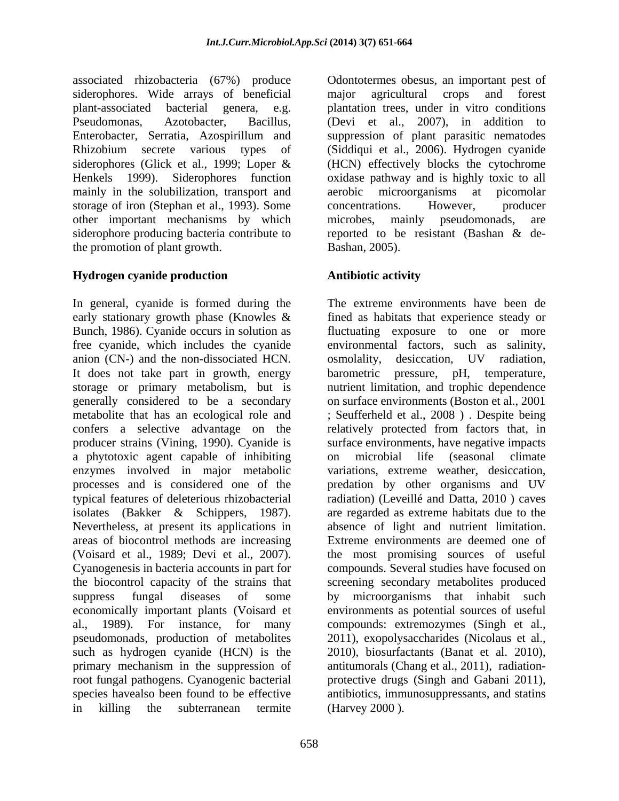associated rhizobacteria (67%) produce siderophores. Wide arrays of beneficial major agricultural crops and forest plant-associated bacterial genera, e.g. plantation trees, under in vitro conditions Pseudomonas, Azotobacter, Bacillus, (Devi et al., 2007), in addition to Enterobacter, Serratia, Azospirillum and suppression of plant parasitic nematodes Rhizobium secrete various types of (Siddiqui et al., 2006). Hydrogen cyanide siderophores (Glick et al., 1999; Loper & (HCN) effectively blocks the cytochrome Henkels 1999). Siderophores function oxidase pathway and is highly toxic to all mainly in the solubilization, transport and aerobic microorganisms at picomolar storage of iron (Stephan et al., 1993). Some concentrations. However, producer other important mechanisms by which microbes, mainly pseudomonads, are siderophore producing bacteria contribute to reported to be resistant (Bashan & dethe promotion of plant growth.

### **Hydrogen cyanide production**

In general, cyanide is formed during the free cyanide, which includes the cyanide anion (CN-) and the non-dissociated HCN. It does not take part in growth, energy barometric pressure, pH, temperature, a phytotoxic agent capable of inhibiting Nevertheless, at present its applications in (Voisard et al., 1989; Devi et al., 2007). root fungal pathogens. Cyanogenic bacterial in killing the subterranean termite (Harvey 2000).

Odontotermes obesus, an important pest of major agricultural crops and forest aerobic microorganisms at picomolar concentrations. However, producer microbes, mainly pseudomonads, are Bashan, 2005).

## **Antibiotic activity**

early stationary growth phase (Knowles & fined as habitats that experience steady or Bunch, 1986). Cyanide occurs in solution as fluctuating exposure to one or more storage or primary metabolism, but is nutrient limitation, and trophic dependence generally considered to be a secondary on surface environments (Boston et al., 2001 metabolite that has an ecological role and ; Seufferheld et al., 2008 ) . Despite being confers a selective advantage on the relatively protected from factors that, in producer strains (Vining, 1990). Cyanide is surface environments, have negative impacts enzymes involved in major metabolic variations, extreme weather, desiccation, processes and is considered one of the predation by other organisms and UV typical features of deleterious rhizobacterial radiation) (Leveillé and Datta, 2010 ) caves isolates (Bakker & Schippers, 1987). are regarded as extreme habitats due to the areas of biocontrol methods are increasing Extreme environments are deemed one of Cyanogenesis in bacteria accounts in part for compounds. Several studies have focused on the biocontrol capacity of the strains that screening secondary metabolites produced suppress fungal diseases of some by microorganisms that inhabit such economically important plants (Voisard et environments as potential sources of useful al., 1989). For instance, for many compounds: extremozymes (Singh et al., pseudomonads, production of metabolites 2011), exopolysaccharides (Nicolaus et al., such as hydrogen cyanide (HCN) is the 2010), biosurfactants (Banat et al. 2010), primary mechanism in the suppression of antitumorals (Chang et al., 2011), radiation species havealso been found to be effective antibiotics, immunosuppressants, and statins The extreme environments have been de environmental factors, such as salinity, osmolality, desiccation, UV radiation, barometric pressure, pH, temperature, on microbial life (seasonal climate absence of light and nutrient limitation. the most promising sources of useful protective drugs (Singh and Gabani 2011), (Harvey 2000 ).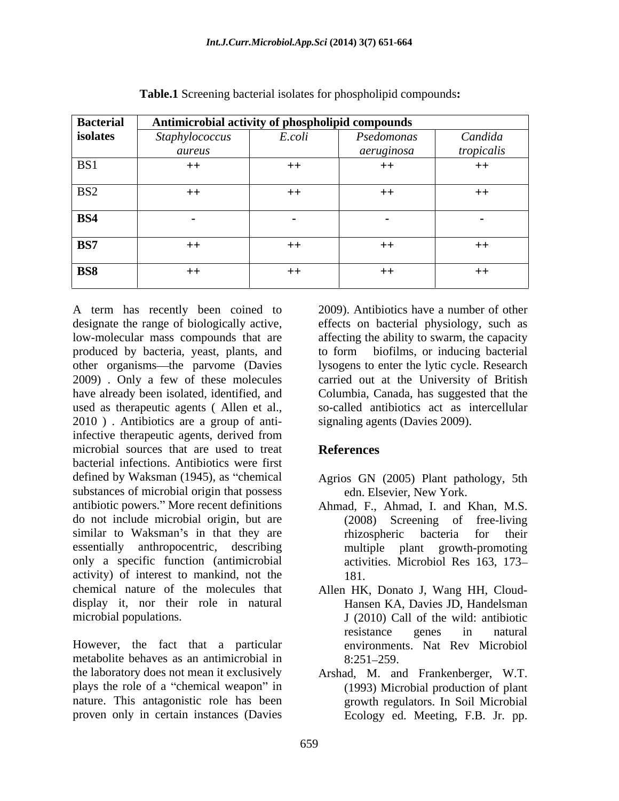| <b>Bacterial</b> | Antimicrobial activity of phospholipid compounds |        |            |            |
|------------------|--------------------------------------------------|--------|------------|------------|
| isolates         | Staphylococcus                                   | E.coli | Psedomonas | Candida    |
|                  | aureus                                           |        | aeruginosa | tropicalis |
| BS1              | $++$                                             | $++$   | $++$       | $++$       |
| BS <sub>2</sub>  | $++$                                             | $++$   | $++$       | $++$       |
| BS4              |                                                  | $\sim$ |            |            |
| BS7              | $++$                                             | $++$   | $++$       | $++$       |
| <b>BS8</b>       | $++$                                             | $++$   | $++$       | $++$       |

**Table.1** Screening bacterial isolates for phospholipid compounds**:**

designate the range of biologically active, effects on bacterial physiology, such as low-molecular mass compounds that are affecting the ability to swarm, the capacity produced by bacteria, yeast, plants, and other organisms—the parvome (Davies 2009) . Only a few of these molecules have already been isolated, identified, and Columbia, Canada, has suggested that the used as therapeutic agents ( Allen et al., 2010 ) . Antibiotics are a group of antiinfective therapeutic agents, derived from microbial sources that are used to treat **References** bacterial infections. Antibiotics were first defined by Waksman (1945), as "chemical Agrios GN (2005) Plant pathology, 5th substances of microbial origin that possess antibiotic powers. More recent definitions Ahmad, F., Ahmad, I. and Khan, M.S. do not include microbial origin, but are similar to Waksman's in that they are hizospheric bacteria for their essentially anthropocentric, describing multiple plant growth-promoting only a specific function (antimicrobial activities. Microbiol Res 163, 173 activity) of interest to mankind, not the chemical nature of the molecules that Allen HK, Donato J, Wang HH, Cloud display it, nor their role in natural

However, the fact that a particular metabolite behaves as an antimicrobial in 8:251-259. the laboratory does not mean it exclusively Arshad, M. and Frankenberger, W.T. plays the role of a "chemical weapon" in nature. This antagonistic role has been proven only in certain instances (Davies

A term has recently been coined to 2009). Antibiotics have a number of other 2009). Antibiotics have a number of other to form biofilms, or inducing bacterial lysogens to enter the lytic cycle. Research carried out at the University of British so-called antibiotics act as intercellular signaling agents (Davies 2009).

## **References**

- edn. Elsevier, New York.
- (2008) Screening of free-living rhizospheric bacteria for their multiple plant growth-promoting 181.
- microbial populations. J (2010) Call of the wild: antibiotic Hansen KA, Davies JD, Handelsman resistance genes in natural environments. Nat Rev Microbiol 8:251 259.
	- (1993) Microbial production of plant growth regulators. In Soil Microbial Ecology ed. Meeting, F.B. Jr. pp.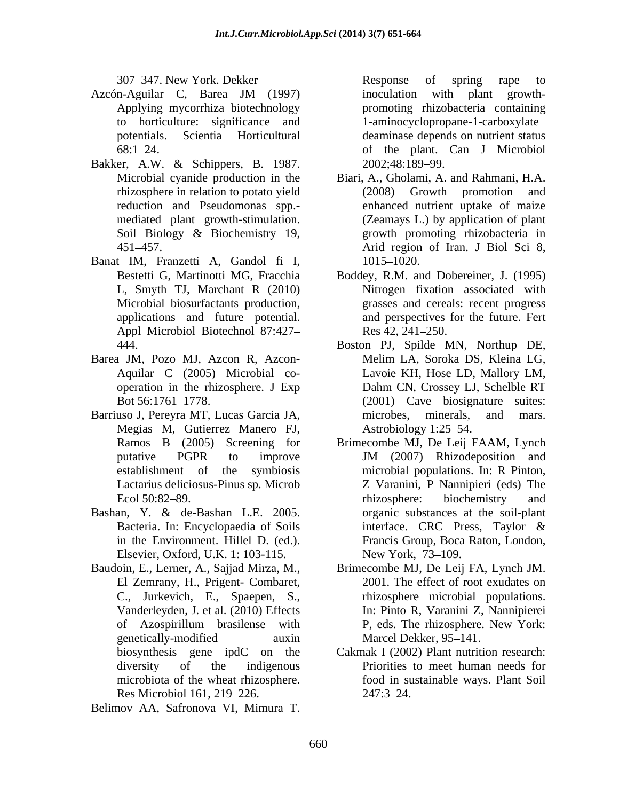- Azcón-Aguilar C, Barea JM (1997) Applying mycorrhiza biotechnology promoting rhizobacteria containing to horticulture: significance and potentials. Scientia Horticultural deaminase depends on nutrient status
- Bakker, A.W. & Schippers, B. 1987.
- Banat IM, Franzetti A, Gandol fi I, 1015-1020. Appl Microbiol Biotechnol 87:427-<br>Res 42, 241-250.
- Barea JM, Pozo MJ, Azcon R, Azcon-<br>Melim LA, Soroka DS, Kleina LG,
- Barriuso J, Pereyra MT, Lucas Garcia JA, microbes, minerals, and mars. Megias M, Gutierrez Manero FJ,
- Bashan, Y. & de-Bashan L.E. 2005. Elsevier, Oxford, U.K. 1: 103-115. New York, 73–109.
- Baudoin, E., Lerner, A., Sajjad Mirza, M., El Zemrany, H., Prigent- Combaret, 307 347. New York Debiter and the spring rape to from the spring rape to the spring rape of spring rape to the spring rape of spring rape to the spring rape of spring rape to be the spring rape of spring rape to the sprin

307 347. New York. Dekker 68:1 24. of the plant. Can J Microbiol inoculation with plant growth- 1-aminocyclopropane-1-carboxylate 2002;48:189–99.

- Microbial cyanide production in the Biari, A., Gholami, A. and Rahmani, H.A. rhizosphere in relation to potato yield (2008) Growth promotion and reduction and Pseudomonas spp.- enhanced nutrient uptake of maize mediated plant growth-stimulation. (Zeamays L.) by application of plant Soil Biology & Biochemistry 19, erowth promoting rhizobacteria in 451 457. Arid region of Iran. J Biol Sci 8,  $(2008)$  Growth promotion growth promoting rhizobacteria in 1015–1020.
- Bestetti G, Martinotti MG, Fracchia Boddey, R.M. and Dobereiner, J. (1995) L, Smyth TJ, Marchant R (2010) Nitrogen fixation associated with Microbial biosurfactants production, grasses and cereals: recent progress applications and future potential. and perspectives for the future. Fert  $Res 42, 241 - 250.$
- 444. Boston PJ, Spilde MN, Northup DE, Aquilar C (2005) Microbial co- Lavoie KH, Hose LD, Mallory LM, operation in the rhizosphere. J Exp Bot 56:1761 1778. (2001) Cave biosignature suites: Melim LA, Soroka DS, Kleina LG, Dahm CN, Crossey LJ, Schelble RT microbes, minerals, and mars. Astrobiology 1:25–54.
- Ramos B (2005) Screening for Brimecombe MJ, De Leij FAAM, Lynch putative PGPR to improve JM (2007) Rhizodeposition and establishment of the symbiosis microbial populations. In: R Pinton, Lactarius deliciosus-Pinus sp. Microb Z Varanini, P Nannipieri (eds) The Ecol 50:82–89. This rhizosphere: biochemistry and Bacteria. In: Encyclopaedia of Soils interface. CRC Press, Taylor & in the Environment. Hillel D. (ed.). Francis Group, Boca Raton, London, JM (2007) Rhizodeposition and rhizosphere: biochemistry and organic substances at the soil-plant interface. CRC Press, Taylor & Francis Group, Boca Raton, London,<br>New York, 73–109.
- C., Jurkevich, E., Spaepen, S., rhizosphere microbial populations. Vanderleyden, J. et al. (2010) Effects In:Pinto R, Varanini Z, Nannipierei of Azospirillum brasilense with genetically-modified auxin Marcel Dekker, 95–141. Brimecombe MJ, De Leij FA, Lynch JM. 2001. The effect of root exudates on P, eds. The rhizosphere. New York: Marcel Dekker, 95–141.
- biosynthesis gene ipdC on the Cakmak I (2002) Plant nutrition research: diversity of the indigenous Priorities to meet human needs for microbiota of the wheat rhizosphere. food in sustainable ways. Plant Soil Res Microbiol 161, 219–226. 247:3–24. 247:3–24.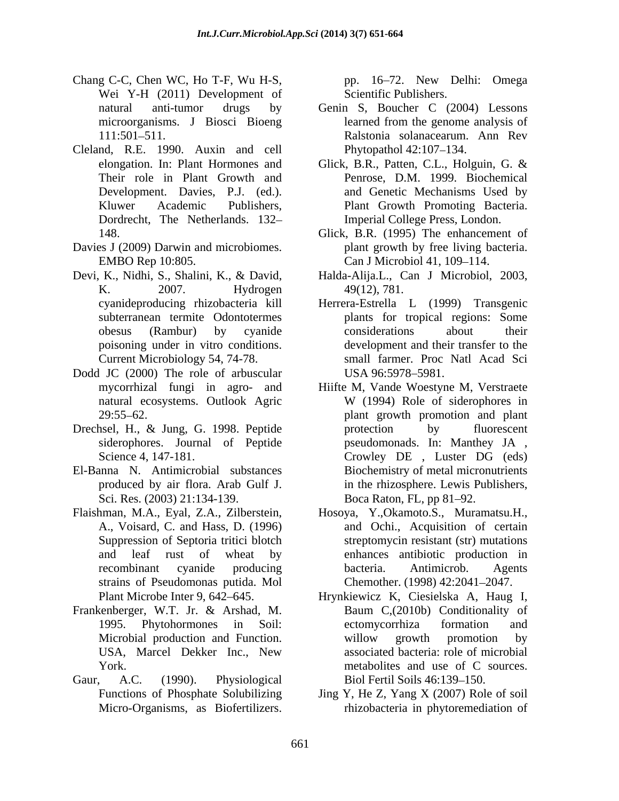- Chang C-C, Chen WC, Ho T-F, Wu H-S, Wei Y-H (2011) Development of
- Cleland, R.E. 1990. Auxin and cell Phytopathol 42:107-134. Dordrecht, The Netherlands. 132
- Davies J (2009) Darwin and microbiomes.
- Devi, K., Nidhi, S., Shalini, K., & David, Halda-Alija.L., Can J Microbiol, 2003, poisoning under in vitro conditions.
- Dodd JC (2000) The role of arbuscular USA 96:5978-5981.
- Drechsel, H., & Jung, G. 1998. Peptide
- El-Banna N. Antimicrobial substances Sci. Res. (2003) 21:134-139.
- Flaishman, M.A., Eyal, Z.A., Zilberstein, Hosoya, Y.,Okamoto.S., Muramatsu.H., strains of Pseudomonas putida. Mol
- Frankenberger, W.T. Jr. & Arshad, M.
- Gaur, A.C. (1990). Physiological Biol Fertil Soils 46:139–150.

pp. 16-72. New Delhi: Omega Scientific Publishers.

- natural anti-tumor drugs by Genin S, Boucher C (2004) Lessons microorganisms. J Biosci Bioeng learned from the genome analysis of 111:501 511. Ralstonia solanacearum. Ann Rev learned from the genome analysis of Phytopathol 42:107–134.
- elongation. In: Plant Hormones and Glick, B.R., Patten, C.L., Holguin, G. & Their role in Plant Growth and Penrose, D.M. 1999. Biochemical Development. Davies, P.J. (ed.). and Genetic Mechanisms Used by Kluwer Academic Publishers, Plant Growth Promoting Bacteria. Glick, B.R., Patten, C.L., Holguin, G. & Imperial College Press, London.
- 148. Glick, B.R. (1995) The enhancement of EMBO Rep 10:805. Can J Microbiol 41, 109–114. plant growth by free living bacteria.
- K. 2007. Hydrogen 49(12), 781. 49(12), 781.
- cyanideproducing rhizobacteria kill Herrera-Estrella L (1999) Transgenic subterranean termite Odontotermes plants for tropical regions: Some obesus (Rambur) by cyanide Current Microbiology 54, 74-78. small farmer. Proc Natl Acad Sci considerations about their development and their transfer to the USA 96:5978–5981.
- mycorrhizal fungi in agro- and Hiifte M, Vande Woestyne M, Verstraete natural ecosystems. Outlook Agric W (1994) Role of siderophores in 29:55 62. plant growth promotion and plant siderophores. Journal of Peptide pseudomonads. In: Manthey JA , Science 4, 147-181. Crowley DE, Luster DG (eds) produced by air flora. Arab Gulf J. in the rhizosphere. Lewis Publishers, W (1994) Role of siderophores in protection by fluorescent Crowley DE , Luster DG (eds) Biochemistry of metal micronutrients Boca Raton, FL, pp 81–92.
- A., Voisard, C. and Hass, D. (1996) and Ochi., Acquisition of certain Suppression of Septoria tritici blotch streptomycin resistant (str) mutations and leaf rust of wheat by enhances antibiotic production in recombinant cyanide producing bacteria. Antimicrob. Agents Chemother. (1998) 42:2041-2047.
- Plant Microbe Inter 9, 642 645. Hrynkiewicz K, Ciesielska A, Haug I, 1995. Phytohormones in Soil: Microbial production and Function. Willow growth promotion by USA, Marcel Dekker Inc., New York. The contract of the metabolities and use of C sources. Baum C,(2010b) Conditionality of ectomycorrhiza formation and willow growth promotion by associated bacteria: role of microbial metabolites and use of C sources. Biol Fertil Soils 46:139–150.
- Functions of Phosphate Solubilizing Jing Y, He Z, Yang X (2007) Role of soil Micro-Organisms, as Biofertilizers. rhizobacteria in phytoremediation of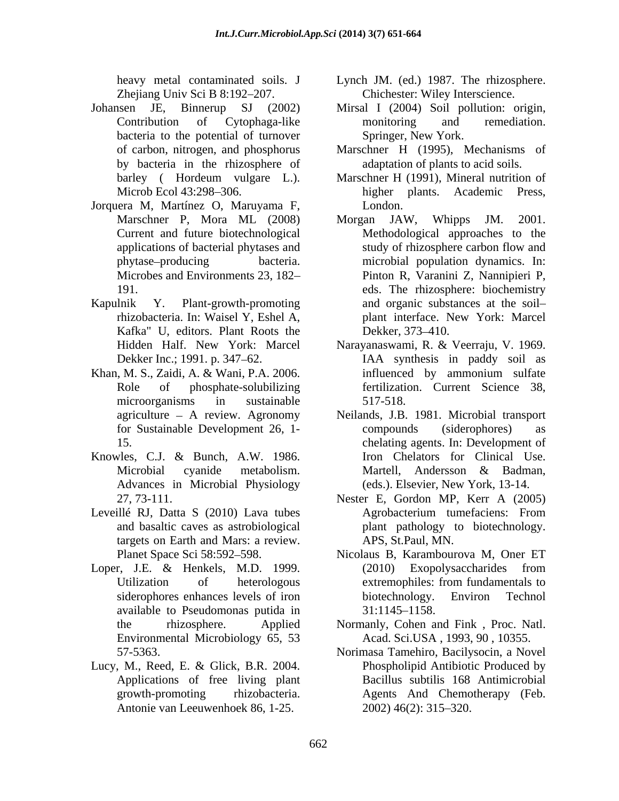Zhejiang Univ Sci B 8:192-207.

- Johansen JE, Binnerup SJ (2002) Mirsal I (2004) Soil pollution: origin, bacteria to the potential of turnover by bacteria in the rhizosphere of
- Jorquera M, Martínez O, Maruyama F,
- Kafka" U, editors. Plant Roots the Dekker, 373-410.
- Khan, M. S., Zaidi, A. & Wani, P.A. 2006. <br>influenced by ammonium sulfate
- Advances in Microbial Physiology
- Leveillé RJ, Datta S (2010) Lava tubes Agrobacterium tumefaciens: From targets on Earth and Mars: a review.
- Loper, J.E. & Henkels, M.D. 1999. (2010) Exopolysaccharides from available to Pseudomonas putida in Environmental Microbiology 65, 53
- Lucy, M., Reed, E. & Glick, B.R. 2004. Applications of free living plant Antonie van Leeuwenhoek 86, 1-25.
- heavy metal contaminated soils. J Lynch JM. (ed.) 1987. The rhizosphere. Chichester: Wiley Interscience.
- Contribution of Cytophaga-like monitoring and remediation. Springer, New York.
- of carbon, nitrogen, and phosphorus Marschner H (1995), Mechanisms of adaptation of plants to acid soils.
- barley ( Hordeum vulgare L.). Marschner H (1991), Mineral nutrition of Microb Ecol 43:298–306. higher plants. Academic Press, higher plants. Academic Press, London.
- Marschner P, Mora ML (2008) Morgan JAW, Whipps JM. 2001. Current and future biotechnological Methodological approaches to the applications of bacterial phytases and phytase producing bacteria. microbial population dynamics. In: Microbes and Environments 23, 182 Pinton R, Varanini Z, Nannipieri P, 191. eds. The rhizosphere: biochemistry Kapulnik Y. Plant-growth-promoting and organic substances at the soil rhizobacteria. In: Waisel Y, Eshel A, plant interface. New York: Marcel Morgan JAW, Whipps JM. 2001. study of rhizosphere carbon flow and Dekker, 373–410.
	- Hidden Half. New York: Marcel Narayanaswami, R. & Veerraju, V. 1969. Dekker Inc.; 1991. p. 347 62. IAA synthesis in paddy soil as Role of phosphate-solubilizing fertilization. Current Science 38, microorganisms in sustainable 517-518. influenced by ammonium sulfate 517-518.
- agriculture A review. Agronomy Neilands, J.B. 1981. Microbial transport for Sustainable Development 26, 1- 15. chelating agents. In: Development of Knowles, C.J. & Bunch, A.W. 1986. Microbial cyanide metabolism. Martell, Andersson & Badman, compounds (siderophores) as Iron Chelators for Clinical Use. Martell, Andersson & Badman, (eds.). Elsevier, New York, 13-14.
	- 27, 73-111. Nester E, Gordon MP, Kerr A (2005) and basaltic caves as astrobiological plant pathology to biotechnology. Agrobacterium tumefaciens: From APS, St.Paul, MN.
	- Planet Space Sci 58:592–598. Nicolaus B, Karambourova M, Oner ET Utilization of heterologous extremophiles: from fundamentals to siderophores enhances levels of iron biotechnology. Environ Technol (2010) Exopolysaccharides from extremophiles: from fundamentals to biotechnology. Environ Technol  $31:1145 - 1158.$
	- the rhizosphere. Applied Normanly, Cohen and Fink , Proc. Natl. Acad. Sci.USA , 1993, 90 , 10355.
	- 57-5363. Norimasa Tamehiro, Bacilysocin, a Novel growth-promoting rhizobacteria. Agents And Chemotherapy (Feb. Phospholipid Antibiotic Produced by Bacillus subtilis 168 Antimicrobial 2002) 46(2): 315 320.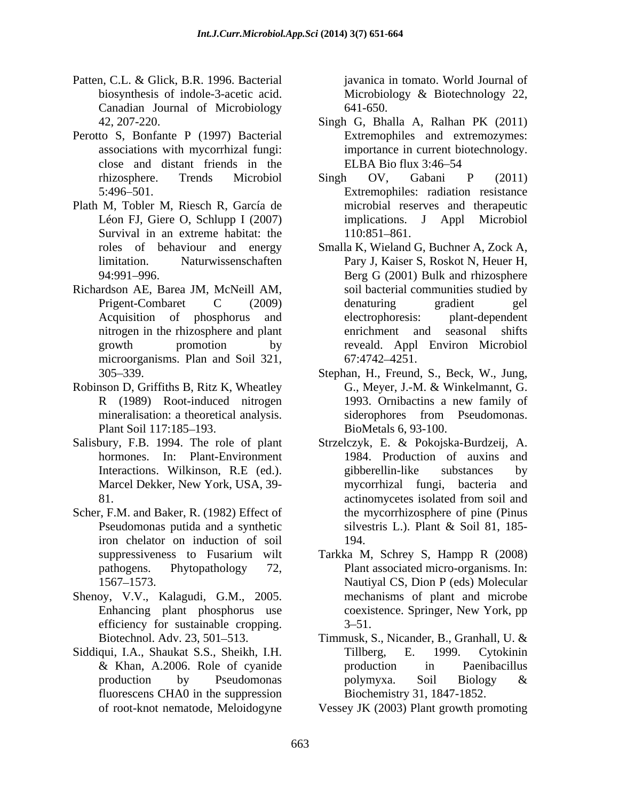- Patten, C.L. & Glick, B.R. 1996. Bacterial biosynthesis of indole-3-acetic acid. Microbiology & Biotechnology 22, Canadian Journal of Microbiology
- Perotto S, Bonfante P (1997) Bacterial close and distant friends in the
- Plath M, Tobler M, Riesch R, García de Survival in an extreme habitat: the  $110:851-861$ .
- Richardson AE, Barea JM, McNeill AM, Acquisition of phosphorus and microorganisms. Plan and Soil 321, 67:4742–4251.
- Robinson D, Griffiths B, Ritz K, Wheatley G., Meyer, J.-M. & Winkelmannt, G.
- Salisbury, F.B. 1994. The role of plant Strzelczyk, E. & Pokojska-Burdzeij, A.
- Scher, F.M. and Baker, R. (1982) Effect of iron chelator on induction of soil
- Shenoy, V.V., Kalagudi, G.M., 2005. efficiency for sustainable cropping.  $3-51$ .
- Siddiqui, I.A., Shaukat S.S., Sheikh, I.H. Tillberg, E. 1999. Cytokinin fluorescens CHA0 in the suppression

javanica in tomato. World Journal of Microbiology & Biotechnology 22, 641-650.

- 42, 207-220. Singh G, Bhalla A, Ralhan PK (2011) associations with mycorrhizal fungi: importance in current biotechnology. Extremophiles and extremozymes: ELBA Bio flux  $3:46-54$
- rhizosphere. Trends Microbiol Singh OV, Gabani P (2011) 5:496 501. Extremophiles: radiation resistance Léon FJ, Giere O, Schlupp I (2007) implications. J Appl Microbiol Singh OV, Gabani P (2011) microbial reserves and therapeutic 110:851-861.
- roles of behaviour and energy Smalla K, Wieland G, Buchner A, Zock A, limitation. Naturwissenschaften Pary J, Kaiser S, Roskot N, Heuer H, 94:991 996. Berg G (2001) Bulk and rhizosphere Prigent-Combaret C (2009) denaturing gradient gel nitrogen in the rhizosphere and plant enrichment and seasonal shifts growth promotion by reveald. Appl Environ Microbiol soil bacterial communities studied by denaturing gradient gel plant-dependent enrichment and seasonal shifts 67:4742 4251.
- 305 339. Stephan, H., Freund, S., Beck, W., Jung, R (1989) Root-induced nitrogen 1993. Ornibactins a new family of mineralisation: a theoretical analysis. Siderophores from Pseudomonas. Plant Soil 117:185–193. BioMetals 6, 93-100. G., Meyer, J.-M. & Winkelmannt, G. 1993. Ornibactins a new family of siderophores from Pseudomonas. BioMetals 6, 93-100.
- hormones. In: Plant-Environment 1984. Production of auxins and Interactions. Wilkinson, R.E (ed.). Marcel Dekker, New York, USA, 39- mycorrhizal fungi, bacteria and 81. actinomycetes isolated from soil and Pseudomonas putida and a synthetic silvestris L.). Plant & Soil 81, 185gibberellin-like substances by mycorrhizal fungi, bacteria actinomycetes isolated from soil and the mycorrhizosphere of pine (Pinus silvestris L.). Plant & Soil 81, 185- 194.
- suppressiveness to Fusarium wilt Tarkka M, Schrey S, Hampp R (2008) pathogens. Phytopathology 72, Plant associated micro-organisms. In: 1567 1573. Nautiyal CS, Dion P (eds) Molecular Enhancing plant phosphorus use coexistence. Springer, New York, pp mechanisms of plant and microbe coexistence. Springer, New York, pp  $3 - 51.$
- Biotechnol. Adv. 23, 501–513. Timmusk, S., Nicander, B., Granhall, U. & & Khan, A.2006. Role of cyanide production by Pseudomonas polymyxa. Soil Biology  $\&$ Tillberg, E. 1999. Cytokinin production in Paenibacillus polymyxa. Soil Biology & Biochemistry 31, 1847-1852.
- of root-knot nematode, Meloidogyne Vessey JK (2003) Plant growth promoting